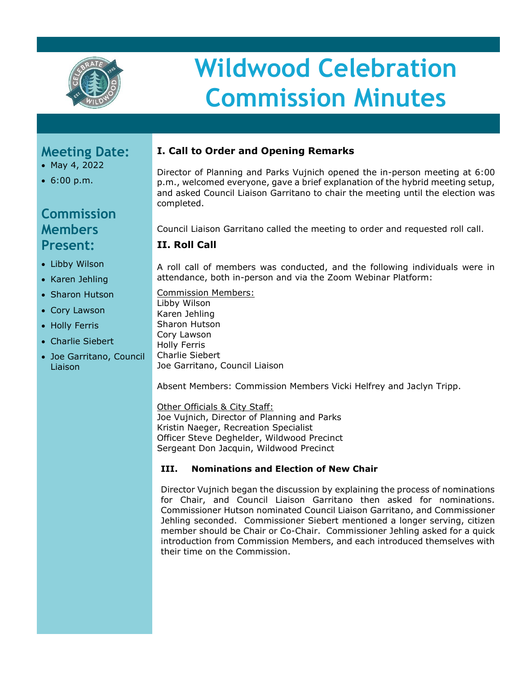

# **Wildwood Celebration Commission Minutes**

## **Meeting Date:**

- May 4, 2022
- 6:00 p.m.

# **Commission Members Present:**

- Libby Wilson
- Karen Jehling
- Sharon Hutson
- Cory Lawson
- Holly Ferris
- Charlie Siebert
- Joe Garritano, Council Liaison

## **I. Call to Order and Opening Remarks**

Director of Planning and Parks Vujnich opened the in-person meeting at 6:00 p.m., welcomed everyone, gave a brief explanation of the hybrid meeting setup, and asked Council Liaison Garritano to chair the meeting until the election was completed.

Council Liaison Garritano called the meeting to order and requested roll call.

### **II. Roll Call**

A roll call of members was conducted, and the following individuals were in attendance, both in-person and via the Zoom Webinar Platform:

Commission Members: Libby Wilson Karen Jehling Sharon Hutson Cory Lawson Holly Ferris Charlie Siebert Joe Garritano, Council Liaison

Absent Members: Commission Members Vicki Helfrey and Jaclyn Tripp.

Other Officials & City Staff: Joe Vujnich, Director of Planning and Parks Kristin Naeger, Recreation Specialist Officer Steve Deghelder, Wildwood Precinct Sergeant Don Jacquin, Wildwood Precinct

#### **III. Nominations and Election of New Chair**

Director Vujnich began the discussion by explaining the process of nominations for Chair, and Council Liaison Garritano then asked for nominations. Commissioner Hutson nominated Council Liaison Garritano, and Commissioner Jehling seconded. Commissioner Siebert mentioned a longer serving, citizen member should be Chair or Co-Chair. Commissioner Jehling asked for a quick introduction from Commission Members, and each introduced themselves with their time on the Commission.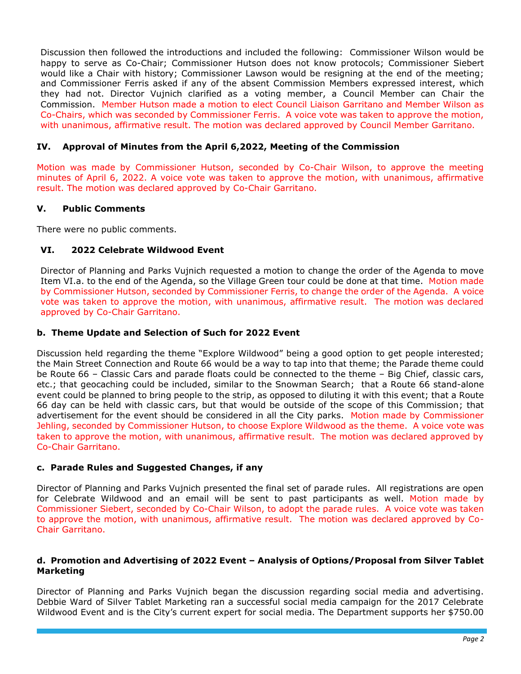Discussion then followed the introductions and included the following: Commissioner Wilson would be happy to serve as Co-Chair; Commissioner Hutson does not know protocols; Commissioner Siebert would like a Chair with history; Commissioner Lawson would be resigning at the end of the meeting; and Commissioner Ferris asked if any of the absent Commission Members expressed interest, which they had not. Director Vujnich clarified as a voting member, a Council Member can Chair the Commission. Member Hutson made a motion to elect Council Liaison Garritano and Member Wilson as Co-Chairs, which was seconded by Commissioner Ferris. A voice vote was taken to approve the motion, with unanimous, affirmative result. The motion was declared approved by Council Member Garritano.

#### **IV. Approval of Minutes from the April 6,2022, Meeting of the Commission**

Motion was made by Commissioner Hutson, seconded by Co-Chair Wilson, to approve the meeting minutes of April 6, 2022. A voice vote was taken to approve the motion, with unanimous, affirmative result. The motion was declared approved by Co-Chair Garritano.

#### **V. Public Comments**

There were no public comments.

#### **VI. 2022 Celebrate Wildwood Event**

Director of Planning and Parks Vujnich requested a motion to change the order of the Agenda to move Item VI.a. to the end of the Agenda, so the Village Green tour could be done at that time. Motion made by Commissioner Hutson, seconded by Commissioner Ferris, to change the order of the Agenda. A voice vote was taken to approve the motion, with unanimous, affirmative result. The motion was declared approved by Co-Chair Garritano.

#### **b. Theme Update and Selection of Such for 2022 Event**

Discussion held regarding the theme "Explore Wildwood" being a good option to get people interested; the Main Street Connection and Route 66 would be a way to tap into that theme; the Parade theme could be Route 66 – Classic Cars and parade floats could be connected to the theme – Big Chief, classic cars, etc.; that geocaching could be included, similar to the Snowman Search; that a Route 66 stand-alone event could be planned to bring people to the strip, as opposed to diluting it with this event; that a Route 66 day can be held with classic cars, but that would be outside of the scope of this Commission; that advertisement for the event should be considered in all the City parks. Motion made by Commissioner Jehling, seconded by Commissioner Hutson, to choose Explore Wildwood as the theme. A voice vote was taken to approve the motion, with unanimous, affirmative result. The motion was declared approved by Co-Chair Garritano.

#### **c. Parade Rules and Suggested Changes, if any**

Director of Planning and Parks Vujnich presented the final set of parade rules. All registrations are open for Celebrate Wildwood and an email will be sent to past participants as well. Motion made by Commissioner Siebert, seconded by Co-Chair Wilson, to adopt the parade rules. A voice vote was taken to approve the motion, with unanimous, affirmative result. The motion was declared approved by Co-Chair Garritano.

#### **d. Promotion and Advertising of 2022 Event – Analysis of Options/Proposal from Silver Tablet Marketing**

Director of Planning and Parks Vujnich began the discussion regarding social media and advertising. Debbie Ward of Silver Tablet Marketing ran a successful social media campaign for the 2017 Celebrate Wildwood Event and is the City's current expert for social media. The Department supports her \$750.00